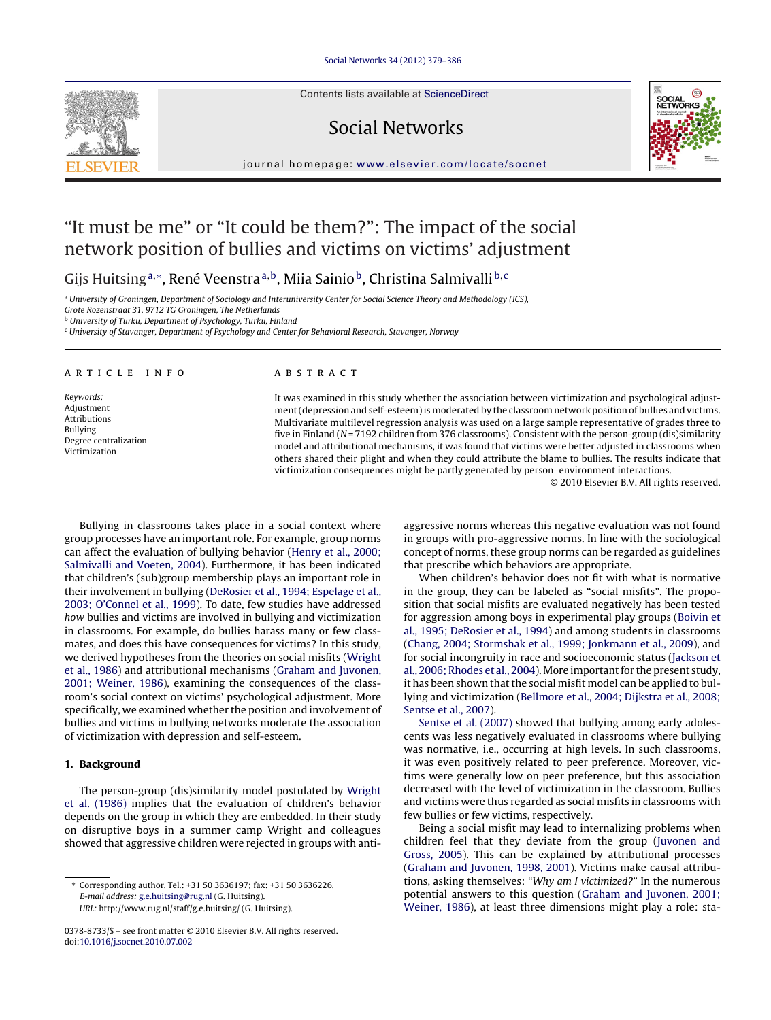Contents lists available at [ScienceDirect](http://www.sciencedirect.com/science/journal/03788733)

# Social Networks



journal hom epage: [www.elsevier.com/locate/socnet](http://www.elsevier.com/locate/socnet)

# "It must be me" or "It could be them?": The impact of the social network position of bullies and victims on victims' adjustment

Gijs Huitsing<sup>a,∗</sup>, René Veenstra<sup>a, b</sup>, Miia Sainio<sup>b</sup>, Christina Salmivalli<sup>b, c</sup>

<sup>a</sup> University of Groningen, Department of Sociology and Interuniversity Center for Social Science Theory and Methodology (ICS),

Grote Rozenstraat 31, 9712 TG Groningen, The Netherlands <sup>b</sup> University of Turku, Department of Psychology, Turku, Finland

<sup>c</sup> University of Stavanger, Department of Psychology and Center for Behavioral Research, Stavanger, Norway

## a r t i c l e i n f o

Keywords: Adjustment Attributions Bullying Degree centralization Victimization

## A B S T R A C T

It was examined in this study whether the association between victimization and psychological adjustment(depression and self-esteem)is moderated by the classroom network position of bullies and victims. Multivariate multilevel regression analysis was used on a large sample representative of grades three to five in Finland (N = 7192 children from 376 classrooms). Consistent with the person-group (dis)similarity model and attributional mechanisms, it was found that victims were better adjusted in classrooms when others shared their plight and when they could attribute the blame to bullies. The results indicate that victimization consequences might be partly generated by person–environment interactions.

© 2010 Elsevier B.V. All rights reserved.

Bullying in classrooms takes place in a social context where group processes have an important role. For example, group norms can affect the evaluation of bullying behavior [\(Henry](#page-7-0) [et](#page-7-0) [al.,](#page-7-0) [2000;](#page-7-0) [Salmivalli](#page-7-0) [and](#page-7-0) [Voeten,](#page-7-0) [2004\).](#page-7-0) Furthermore, it has been indicated that children's (sub)group membership plays an important role in their involvement in bullying [\(DeRosier](#page-7-0) [et](#page-7-0) [al.,](#page-7-0) [1994;](#page-7-0) [Espelage](#page-7-0) [et](#page-7-0) [al.,](#page-7-0) [2003;](#page-7-0) [O'Connel](#page-7-0) [et](#page-7-0) [al.,](#page-7-0) [1999\).](#page-7-0) To date, few studies have addressed how bullies and victims are involved in bullying and victimization in classrooms. For example, do bullies harass many or few classmates, and does this have consequences for victims? In this study, we derived hypotheses from the theories on social misfits [\(Wright](#page-7-0) [et](#page-7-0) [al.,](#page-7-0) [1986\)](#page-7-0) and attributional mechanisms [\(Graham](#page-7-0) [and](#page-7-0) [Juvonen,](#page-7-0) [2001;](#page-7-0) [Weiner,](#page-7-0) [1986\),](#page-7-0) examining the consequences of the classroom's social context on victims' psychological adjustment. More specifically, we examined whether the position and involvement of bullies and victims in bullying networks moderate the association of victimization with depression and self-esteem.

## **1. Background**

The person-group (dis)similarity model postulated by [Wright](#page-7-0) [et](#page-7-0) [al.](#page-7-0) [\(1986\)](#page-7-0) implies that the evaluation of children's behavior depends on the group in which they are embedded. In their study on disruptive boys in a summer camp Wright and colleagues showed that aggressive children were rejected in groups with anti-

∗ Corresponding author. Tel.: +31 50 3636197; fax: +31 50 3636226. E-mail address: [g.e.huitsing@rug.nl](mailto:g.e.huitsing@rug.nl) (G. Huitsing). URL: http://www.rug.nl/staff/g.e.huitsing/ (G. Huitsing).

0378-8733/\$ – see front matter © 2010 Elsevier B.V. All rights reserved. doi:[10.1016/j.socnet.2010.07.002](dx.doi.org/10.1016/j.socnet.2010.07.002)

aggressive norms whereas this negative evaluation was not found in groups with pro-aggressive norms. In line with the sociological concept of norms, these group norms can be regarded as guidelines that prescribe which behaviors are appropriate.

When children's behavior does not fit with what is normative in the group, they can be labeled as "social misfits". The proposition that social misfits are evaluated negatively has been tested for aggression among boys in experimental play groups ([Boivin](#page-7-0) [et](#page-7-0) [al.,](#page-7-0) [1995;](#page-7-0) [DeRosier](#page-7-0) [et](#page-7-0) [al.,](#page-7-0) [1994\)](#page-7-0) and among students in classrooms [\(Chang,](#page-7-0) [2004;](#page-7-0) [Stormshak](#page-7-0) [et](#page-7-0) [al.,](#page-7-0) [1999;](#page-7-0) [Jonkmann](#page-7-0) [et](#page-7-0) [al.,](#page-7-0) [2009\),](#page-7-0) and for social incongruity in race and socioeconomic status [\(Jackson](#page-7-0) [et](#page-7-0) [al.,](#page-7-0) [2006;](#page-7-0) [Rhodes](#page-7-0) [et](#page-7-0) al., [2004\).](#page-7-0) More important for the present study, it has been shown that the social misfit model can be applied to bullying and victimization ([Bellmore](#page-6-0) [et](#page-6-0) [al.,](#page-6-0) [2004;](#page-6-0) [Dijkstra](#page-6-0) [et](#page-6-0) [al.,](#page-6-0) [2008;](#page-6-0) [Sentse](#page-6-0) [et](#page-6-0) [al.,](#page-6-0) [2007\).](#page-6-0)

[Sentse](#page-7-0) [et](#page-7-0) [al.](#page-7-0) [\(2007\)](#page-7-0) showed that bullying among early adolescents was less negatively evaluated in classrooms where bullying was normative, i.e., occurring at high levels. In such classrooms, it was even positively related to peer preference. Moreover, victims were generally low on peer preference, but this association decreased with the level of victimization in the classroom. Bullies and victims were thus regarded as social misfits in classrooms with few bullies or few victims, respectively.

Being a social misfit may lead to internalizing problems when children feel that they deviate from the group ([Juvonen](#page-7-0) [and](#page-7-0) [Gross,](#page-7-0) [2005\).](#page-7-0) This can be explained by attributional processes [\(Graham](#page-7-0) [and](#page-7-0) [Juvonen,](#page-7-0) [1998,](#page-7-0) [2001\).](#page-7-0) Victims make causal attributions, asking themselves: "Why am I victimized?" In the numerous potential answers to this question ([Graham](#page-7-0) [and](#page-7-0) [Juvonen,](#page-7-0) [2001;](#page-7-0) [Weiner,](#page-7-0) [1986\),](#page-7-0) at least three dimensions might play a role: sta-

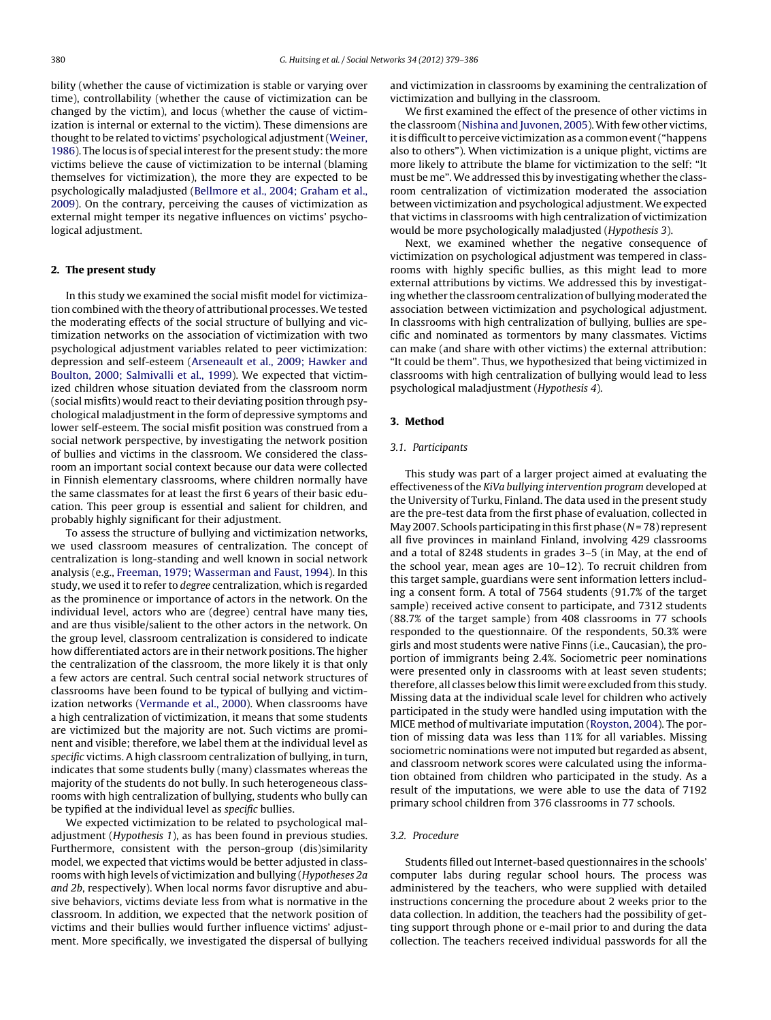bility (whether the cause of victimization is stable or varying over time), controllability (whether the cause of victimization can be changed by the victim), and locus (whether the cause of victimization is internal or external to the victim). These dimensions are thought to be related to victims' psychological adjustment [\(Weiner,](#page-7-0) [1986\).](#page-7-0) The locus is of special interest for the present study: the more victims believe the cause of victimization to be internal (blaming themselves for victimization), the more they are expected to be psychologically maladjusted ([Bellmore](#page-6-0) [et](#page-6-0) [al.,](#page-6-0) [2004;](#page-6-0) [Graham](#page-6-0) [et](#page-6-0) [al.,](#page-6-0) [2009\).](#page-6-0) On the contrary, perceiving the causes of victimization as external might temper its negative influences on victims' psychological adjustment.

## **2. The present study**

In this study we examined the social misfit model for victimization combined with the theory of attributional processes.We tested the moderating effects of the social structure of bullying and victimization networks on the association of victimization with two psychological adjustment variables related to peer victimization: depression and self-esteem ([Arseneault](#page-6-0) [et](#page-6-0) [al.,](#page-6-0) [2009;](#page-6-0) [Hawker](#page-6-0) [and](#page-6-0) [Boulton,](#page-6-0) [2000;](#page-6-0) [Salmivalli](#page-6-0) [et](#page-6-0) [al.,](#page-6-0) [1999\).](#page-6-0) We expected that victimized children whose situation deviated from the classroom norm (social misfits) would react to their deviating position through psychological maladjustment in the form of depressive symptoms and lower self-esteem. The social misfit position was construed from a social network perspective, by investigating the network position of bullies and victims in the classroom. We considered the classroom an important social context because our data were collected in Finnish elementary classrooms, where children normally have the same classmates for at least the first 6 years of their basic education. This peer group is essential and salient for children, and probably highly significant for their adjustment.

To assess the structure of bullying and victimization networks, we used classroom measures of centralization. The concept of centralization is long-standing and well known in social network analysis (e.g., [Freeman,](#page-7-0) [1979;](#page-7-0) [Wasserman](#page-7-0) [and](#page-7-0) [Faust,](#page-7-0) [1994\).](#page-7-0) In this study, we used it to refer to *degree* centralization, which is regarded as the prominence or importance of actors in the network. On the individual level, actors who are (degree) central have many ties, and are thus visible/salient to the other actors in the network. On the group level, classroom centralization is considered to indicate how differentiated actors are in their network positions. The higher the centralization of the classroom, the more likely it is that only a few actors are central. Such central social network structures of classrooms have been found to be typical of bullying and victimization networks [\(Vermande](#page-7-0) [et](#page-7-0) [al.,](#page-7-0) [2000\).](#page-7-0) When classrooms have a high centralization of victimization, it means that some students are victimized but the majority are not. Such victims are prominent and visible; therefore, we label them at the individual level as specific victims. A high classroom centralization of bullying, in turn, indicates that some students bully (many) classmates whereas the majority of the students do not bully. In such heterogeneous classrooms with high centralization of bullying, students who bully can be typified at the individual level as specific bullies.

We expected victimization to be related to psychological maladjustment (Hypothesis 1), as has been found in previous studies. Furthermore, consistent with the person-group (dis)similarity model, we expected that victims would be better adjusted in classrooms with high levels of victimization and bullying (Hypotheses 2a and 2b, respectively). When local norms favor disruptive and abusive behaviors, victims deviate less from what is normative in the classroom. In addition, we expected that the network position of victims and their bullies would further influence victims' adjustment. More specifically, we investigated the dispersal of bullying

and victimization in classrooms by examining the centralization of victimization and bullying in the classroom.

We first examined the effect of the presence of other victims in the classroom [\(Nishina](#page-7-0) [and](#page-7-0) [Juvonen,](#page-7-0) [2005\).](#page-7-0) With few other victims, it is difficult to perceive victimization as a common event ("happens also to others"). When victimization is a unique plight, victims are more likely to attribute the blame for victimization to the self: "It must be me".We addressed this by investigating whether the classroom centralization of victimization moderated the association between victimization and psychological adjustment. We expected that victims in classrooms with high centralization of victimization would be more psychologically maladjusted (Hypothesis 3).

Next, we examined whether the negative consequence of victimization on psychological adjustment was tempered in classrooms with highly specific bullies, as this might lead to more external attributions by victims. We addressed this by investigating whether the classroom centralization of bullying moderated the association between victimization and psychological adjustment. In classrooms with high centralization of bullying, bullies are specific and nominated as tormentors by many classmates. Victims can make (and share with other victims) the external attribution: "It could be them". Thus, we hypothesized that being victimized in classrooms with high centralization of bullying would lead to less psychological maladjustment (Hypothesis 4).

### **3. Method**

## 3.1. Participants

This study was part of a larger project aimed at evaluating the effectiveness of the KiVa bullying intervention program developed at the University of Turku, Finland. The data used in the present study are the pre-test data from the first phase of evaluation, collected in May 2007. Schools participating in this first phase  $(N = 78)$  represent all five provinces in mainland Finland, involving 429 classrooms and a total of 8248 students in grades 3–5 (in May, at the end of the school year, mean ages are 10–12). To recruit children from this target sample, guardians were sent information letters including a consent form. A total of 7564 students (91.7% of the target sample) received active consent to participate, and 7312 students (88.7% of the target sample) from 408 classrooms in 77 schools responded to the questionnaire. Of the respondents, 50.3% were girls and most students were native Finns (i.e., Caucasian), the proportion of immigrants being 2.4%. Sociometric peer nominations were presented only in classrooms with at least seven students; therefore, all classes below this limit were excluded from this study. Missing data at the individual scale level for children who actively participated in the study were handled using imputation with the MICE method of multivariate imputation [\(Royston,](#page-7-0) [2004\).](#page-7-0) The portion of missing data was less than 11% for all variables. Missing sociometric nominations were not imputed but regarded as absent, and classroom network scores were calculated using the information obtained from children who participated in the study. As a result of the imputations, we were able to use the data of 7192 primary school children from 376 classrooms in 77 schools.

## 3.2. Procedure

Students filled out Internet-based questionnaires in the schools' computer labs during regular school hours. The process was administered by the teachers, who were supplied with detailed instructions concerning the procedure about 2 weeks prior to the data collection. In addition, the teachers had the possibility of getting support through phone or e-mail prior to and during the data collection. The teachers received individual passwords for all the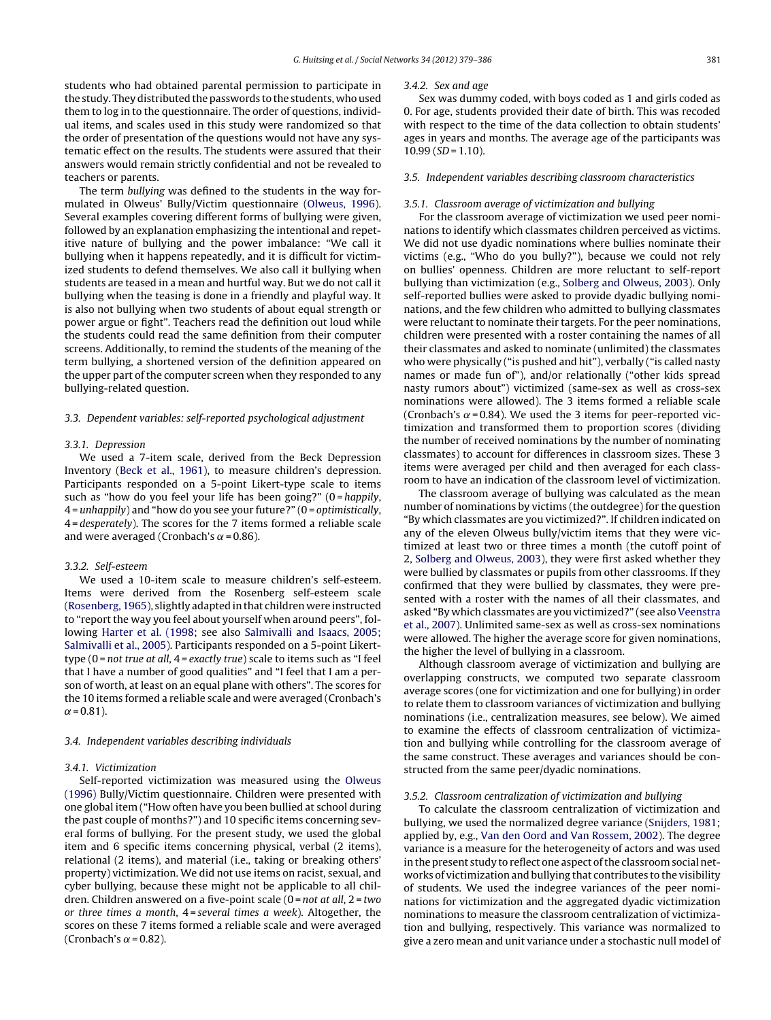students who had obtained parental permission to participate in the study. They distributed the passwords to the students, who used them to log in to the questionnaire. The order of questions, individual items, and scales used in this study were randomized so that the order of presentation of the questions would not have any systematic effect on the results. The students were assured that their answers would remain strictly confidential and not be revealed to teachers or parents.

The term bullying was defined to the students in the way formulated in Olweus' Bully/Victim questionnaire ([Olweus,](#page-7-0) [1996\).](#page-7-0) Several examples covering different forms of bullying were given, followed by an explanation emphasizing the intentional and repetitive nature of bullying and the power imbalance: "We call it bullying when it happens repeatedly, and it is difficult for victimized students to defend themselves. We also call it bullying when students are teased in a mean and hurtful way. But we do not call it bullying when the teasing is done in a friendly and playful way. It is also not bullying when two students of about equal strength or power argue or fight". Teachers read the definition out loud while the students could read the same definition from their computer screens. Additionally, to remind the students of the meaning of the term bullying, a shortened version of the definition appeared on the upper part of the computer screen when they responded to any bullying-related question.

### 3.3. Dependent variables: self-reported psychological adjustment

#### 3.3.1. Depression

We used a 7-item scale, derived from the Beck Depression Inventory ([Beck](#page-6-0) [et](#page-6-0) [al.,](#page-6-0) [1961\),](#page-6-0) to measure children's depression. Participants responded on a 5-point Likert-type scale to items such as "how do you feel your life has been going?"  $(0 = happily,$  $4 =$ unhappily) and "how do you see your future?" (0 = optimistically, 4 = desperately). The scores for the 7 items formed a reliable scale and were averaged (Cronbach's  $\alpha$  = 0.86).

#### 3.3.2. Self-esteem

We used a 10-item scale to measure children's self-esteem. Items were derived from the Rosenberg self-esteem scale ([Rosenberg,](#page-7-0) [1965\),](#page-7-0) slightly adapted in that children were instructed to "report the way you feel about yourself when around peers", following [Harter](#page-7-0) [et](#page-7-0) [al.](#page-7-0) [\(1998;](#page-7-0) see also [Salmivalli](#page-7-0) [and](#page-7-0) [Isaacs,](#page-7-0) [2005;](#page-7-0) [Salmivalli](#page-7-0) [et](#page-7-0) [al.,](#page-7-0) [2005\).](#page-7-0) Participants responded on a 5-point Likerttype (0 = not true at all,  $4$  = exactly true) scale to items such as "I feel that I have a number of good qualities" and "I feel that I am a person of worth, at least on an equal plane with others". The scores for the 10 items formed a reliable scale and were averaged (Cronbach's  $\alpha = 0.81$ ).

#### 3.4. Independent variables describing individuals

#### 3.4.1. Victimization

Self-reported victimization was measured using the [Olweus](#page-7-0) [\(1996\)](#page-7-0) Bully/Victim questionnaire. Children were presented with one global item ("How often have you been bullied at school during the past couple of months?") and 10 specific items concerning several forms of bullying. For the present study, we used the global item and 6 specific items concerning physical, verbal (2 items), relational (2 items), and material (i.e., taking or breaking others' property) victimization. We did not use items on racist, sexual, and cyber bullying, because these might not be applicable to all children. Children answered on a five-point scale  $(0 = not at all, 2 = two$ or three times a month, 4 = several times a week). Altogether, the scores on these 7 items formed a reliable scale and were averaged (Cronbach's  $\alpha$  = 0.82).

#### 3.4.2. Sex and age

Sex was dummy coded, with boys coded as 1 and girls coded as 0. For age, students provided their date of birth. This was recoded with respect to the time of the data collection to obtain students' ages in years and months. The average age of the participants was  $10.99$  (SD = 1.10).

#### 3.5. Independent variables describing classroom characteristics

#### 3.5.1. Classroom average of victimization and bullying

For the classroom average of victimization we used peer nominations to identify which classmates children perceived as victims. We did not use dyadic nominations where bullies nominate their victims (e.g., "Who do you bully?"), because we could not rely on bullies' openness. Children are more reluctant to self-report bullying than victimization (e.g., [Solberg](#page-7-0) [and](#page-7-0) [Olweus,](#page-7-0) [2003\).](#page-7-0) Only self-reported bullies were asked to provide dyadic bullying nominations, and the few children who admitted to bullying classmates were reluctant to nominate their targets. For the peer nominations, children were presented with a roster containing the names of all their classmates and asked to nominate (unlimited) the classmates who were physically ("is pushed and hit"), verbally ("is called nasty names or made fun of"), and/or relationally ("other kids spread nasty rumors about") victimized (same-sex as well as cross-sex nominations were allowed). The 3 items formed a reliable scale (Cronbach's  $\alpha$  = 0.84). We used the 3 items for peer-reported victimization and transformed them to proportion scores (dividing the number of received nominations by the number of nominating classmates) to account for differences in classroom sizes. These 3 items were averaged per child and then averaged for each classroom to have an indication of the classroom level of victimization.

The classroom average of bullying was calculated as the mean number of nominations by victims (the outdegree) for the question "By which classmates are you victimized?". If children indicated on any of the eleven Olweus bully/victim items that they were victimized at least two or three times a month (the cutoff point of 2, [Solberg](#page-7-0) [and](#page-7-0) [Olweus,](#page-7-0) [2003\),](#page-7-0) they were first asked whether they were bullied by classmates or pupils from other classrooms. If they confirmed that they were bullied by classmates, they were presented with a roster with the names of all their classmates, and asked "By which classmates are you victimized?" (see also [Veenstra](#page-7-0) [et](#page-7-0) [al.,](#page-7-0) [2007\).](#page-7-0) Unlimited same-sex as well as cross-sex nominations were allowed. The higher the average score for given nominations, the higher the level of bullying in a classroom.

Although classroom average of victimization and bullying are overlapping constructs, we computed two separate classroom average scores (one for victimization and one for bullying) in order to relate them to classroom variances of victimization and bullying nominations (i.e., centralization measures, see below). We aimed to examine the effects of classroom centralization of victimization and bullying while controlling for the classroom average of the same construct. These averages and variances should be constructed from the same peer/dyadic nominations.

#### 3.5.2. Classroom centralization of victimization and bullying

To calculate the classroom centralization of victimization and bullying, we used the normalized degree variance ([Snijders,](#page-7-0) [1981;](#page-7-0) applied by, e.g., [Van](#page-7-0) [den](#page-7-0) [Oord](#page-7-0) [and](#page-7-0) [Van](#page-7-0) [Rossem,](#page-7-0) [2002\).](#page-7-0) The degree variance is a measure for the heterogeneity of actors and was used in the present study to reflect one aspect of the classroom social networks of victimization and bullying that contributes to the visibility of students. We used the indegree variances of the peer nominations for victimization and the aggregated dyadic victimization nominations to measure the classroom centralization of victimization and bullying, respectively. This variance was normalized to give a zero mean and unit variance under a stochastic null model of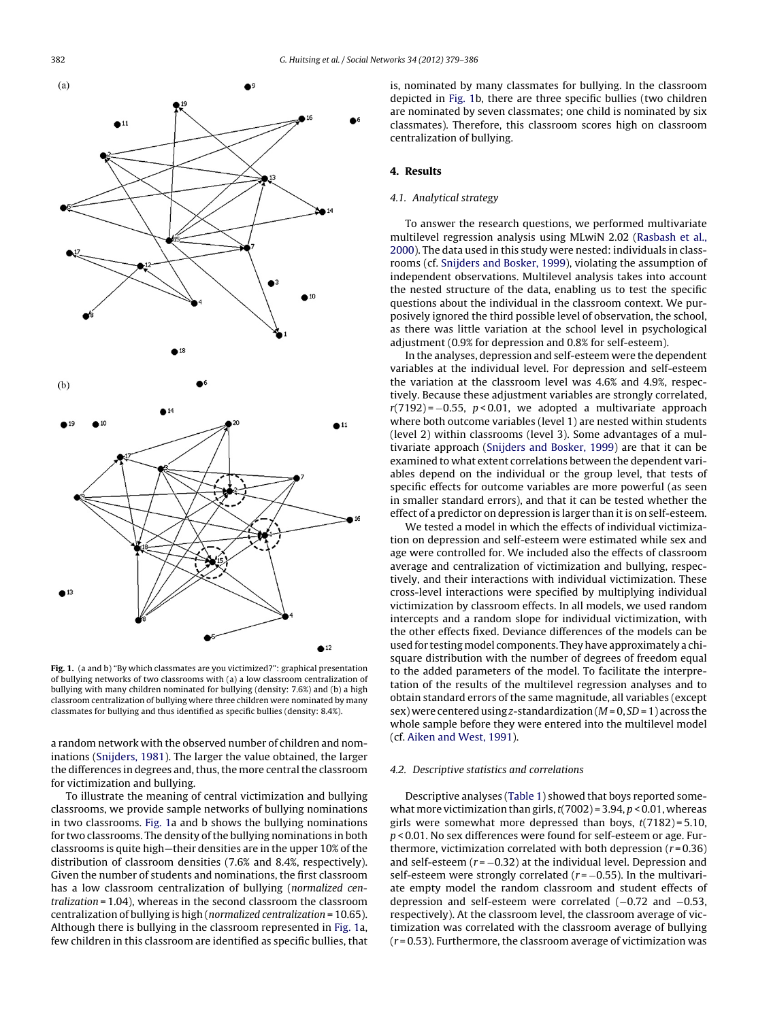

**Fig. 1.** (a and b) "By which classmates are you victimized?": graphical presentation of bullying networks of two classrooms with (a) a low classroom centralization of bullying with many children nominated for bullying (density: 7.6%) and (b) a high classroom centralization of bullying where three children were nominated by many classmates for bullying and thus identified as specific bullies (density: 8.4%).

a random network with the observed number of children and nominations [\(Snijders,](#page-7-0) [1981\).](#page-7-0) The larger the value obtained, the larger the differences in degrees and, thus, the more central the classroom for victimization and bullying.

To illustrate the meaning of central victimization and bullying classrooms, we provide sample networks of bullying nominations in two classrooms. Fig. 1a and b shows the bullying nominations for two classrooms. The density of the bullying nominations in both classrooms is quite high—their densities are in the upper 10% of the distribution of classroom densities (7.6% and 8.4%, respectively). Given the number of students and nominations, the first classroom has a low classroom centralization of bullying (normalized centralization = 1.04), whereas in the second classroom the classroom centralization of bullying is high (normalized centralization = 10.65). Although there is bullying in the classroom represented in Fig. 1a, few children in this classroom are identified as specific bullies, that is, nominated by many classmates for bullying. In the classroom depicted in Fig. 1b, there are three specific bullies (two children are nominated by seven classmates; one child is nominated by six classmates). Therefore, this classroom scores high on classroom centralization of bullying.

## **4. Results**

### 4.1. Analytical strategy

To answer the research questions, we performed multivariate multilevel regression analysis using MLwiN 2.02 [\(Rasbash](#page-7-0) [et](#page-7-0) [al.,](#page-7-0) [2000\).](#page-7-0) The data used in this study were nested: individuals in classrooms (cf. [Snijders](#page-7-0) [and](#page-7-0) [Bosker,](#page-7-0) [1999\),](#page-7-0) violating the assumption of independent observations. Multilevel analysis takes into account the nested structure of the data, enabling us to test the specific questions about the individual in the classroom context. We purposively ignored the third possible level of observation, the school, as there was little variation at the school level in psychological adjustment (0.9% for depression and 0.8% for self-esteem).

In the analyses, depression and self-esteem were the dependent variables at the individual level. For depression and self-esteem the variation at the classroom level was 4.6% and 4.9%, respectively. Because these adjustment variables are strongly correlated,  $r(7192) = -0.55$ ,  $p < 0.01$ , we adopted a multivariate approach where both outcome variables (level 1) are nested within students (level 2) within classrooms (level 3). Some advantages of a multivariate approach [\(Snijders](#page-7-0) [and](#page-7-0) [Bosker,](#page-7-0) [1999\)](#page-7-0) are that it can be examined to what extent correlations between the dependent variables depend on the individual or the group level, that tests of specific effects for outcome variables are more powerful (as seen in smaller standard errors), and that it can be tested whether the effect of a predictor on depression is larger than it is on self-esteem.

We tested a model in which the effects of individual victimization on depression and self-esteem were estimated while sex and age were controlled for. We included also the effects of classroom average and centralization of victimization and bullying, respectively, and their interactions with individual victimization. These cross-level interactions were specified by multiplying individual victimization by classroom effects. In all models, we used random intercepts and a random slope for individual victimization, with the other effects fixed. Deviance differences of the models can be used for testing model components. They have approximately a chisquare distribution with the number of degrees of freedom equal to the added parameters of the model. To facilitate the interpretation of the results of the multilevel regression analyses and to obtain standard errors of the same magnitude, all variables (except sex) were centered using z-standardization ( $M = 0$ ,  $SD = 1$ ) across the whole sample before they were entered into the multilevel model (cf. [Aiken](#page-6-0) [and](#page-6-0) [West,](#page-6-0) [1991\).](#page-6-0)

## 4.2. Descriptive statistics and correlations

Descriptive analyses [\(Table](#page-4-0) 1) showed that boys reported somewhat more victimization than girls,  $t(7002)$  = 3.94,  $p < 0.01$ , whereas girls were somewhat more depressed than boys,  $t(7182) = 5.10$ , p < 0.01. No sex differences were found for self-esteem or age. Furthermore, victimization correlated with both depression  $(r=0.36)$ and self-esteem  $(r = -0.32)$  at the individual level. Depression and self-esteem were strongly correlated ( $r = -0.55$ ). In the multivariate empty model the random classroom and student effects of depression and self-esteem were correlated (-0.72 and -0.53, respectively). At the classroom level, the classroom average of victimization was correlated with the classroom average of bullying  $(r=0.53)$ . Furthermore, the classroom average of victimization was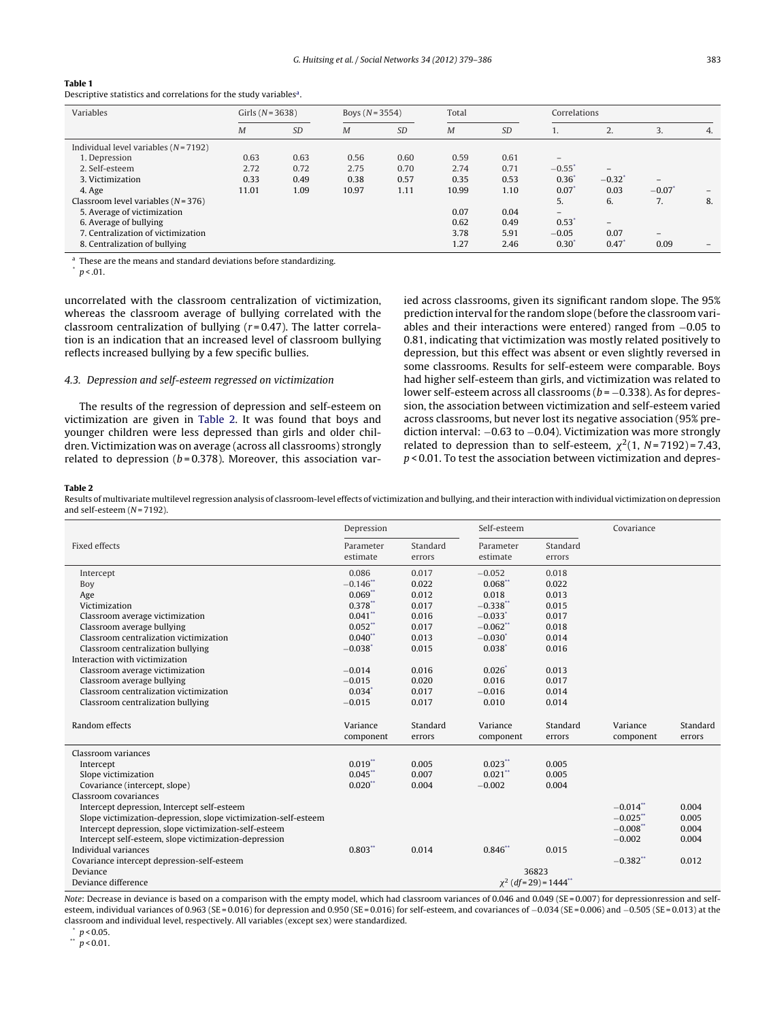#### <span id="page-4-0"></span>**Table 1**

Descriptive statistics and correlations for the study variables<sup>a</sup>.

| Variables                               | Girls $(N = 3638)$ |           | Boys $(N = 3554)$ |           | Total |           | Correlations        |                      |                          |     |
|-----------------------------------------|--------------------|-----------|-------------------|-----------|-------|-----------|---------------------|----------------------|--------------------------|-----|
|                                         | M                  | <b>SD</b> | M                 | <b>SD</b> | M     | <b>SD</b> | 1.                  | 2.                   | 3.                       | 4.  |
| Individual level variables $(N = 7192)$ |                    |           |                   |           |       |           |                     |                      |                          |     |
| 1. Depression                           | 0.63               | 0.63      | 0.56              | 0.60      | 0.59  | 0.61      | $-$                 |                      |                          |     |
| 2. Self-esteem                          | 2.72               | 0.72      | 2.75              | 0.70      | 2.74  | 0.71      | $-0.55$             | -                    |                          |     |
| 3. Victimization                        | 0.33               | 0.49      | 0.38              | 0.57      | 0.35  | 0.53      | $0.36^{*}$          | $-0.32$ <sup>*</sup> | $\overline{\phantom{0}}$ |     |
| 4. Age                                  | 11.01              | 1.09      | 10.97             | 1.11      | 10.99 | 1.10      | $0.07$ <sup>*</sup> | 0.03                 | $-0.07$ <sup>*</sup>     | $-$ |
| Classroom level variables $(N = 376)$   |                    |           |                   |           |       |           | 5.                  | 6.                   | $\overline{\phantom{a}}$ | 8.  |
| 5. Average of victimization             |                    |           |                   |           | 0.07  | 0.04      | $-$                 |                      |                          |     |
| 6. Average of bullying                  |                    |           |                   |           | 0.62  | 0.49      | 0.53                | -                    |                          |     |
| 7. Centralization of victimization      |                    |           |                   |           | 3.78  | 5.91      | $-0.05$             | 0.07                 | $\overline{\phantom{0}}$ |     |
| 8. Centralization of bullying           |                    |           |                   |           | 1.27  | 2.46      | $0.30^{^{\circ}}$   | 0.47                 | 0.09                     |     |

a These are the means and standard deviations before standardizing.

 $p < .01$ .

uncorrelated with the classroom centralization of victimization, whereas the classroom average of bullying correlated with the classroom centralization of bullying  $(r=0.47)$ . The latter correlation is an indication that an increased level of classroom bullying reflects increased bullying by a few specific bullies.

## 4.3. Depression and self-esteem regressed on victimization

The results of the regression of depression and self-esteem on victimization are given in Table 2. It was found that boys and younger children were less depressed than girls and older children. Victimization was on average (across all classrooms) strongly related to depression ( $b = 0.378$ ). Moreover, this association varied across classrooms, given its significant random slope. The 95% prediction interval for the random slope (before the classroom variables and their interactions were entered) ranged from −0.05 to 0.81, indicating that victimization was mostly related positively to depression, but this effect was absent or even slightly reversed in some classrooms. Results for self-esteem were comparable. Boys had higher self-esteem than girls, and victimization was related to lower self-esteem across all classrooms ( $b = -0.338$ ). As for depression, the association between victimization and self-esteem varied across classrooms, but never lost its negative association (95% prediction interval: −0.63 to −0.04). Victimization was more strongly related to depression than to self-esteem,  $\chi^2(1, N = 7192) = 7.43$ , p < 0.01. To test the association between victimization and depres-

#### **Table 2**

Results of multivariate multilevel regression analysis of classroom-level effects of victimization and bullying, and their interaction with individual victimization on depression and self-esteem  $(N = 7192)$ .

|                                                                 | Depression            |                    | Self-esteem                            |                    | Covariance             |          |
|-----------------------------------------------------------------|-----------------------|--------------------|----------------------------------------|--------------------|------------------------|----------|
| Fixed effects                                                   | Parameter<br>estimate | Standard<br>errors | Parameter<br>estimate                  | Standard<br>errors |                        |          |
| Intercept                                                       | 0.086                 | 0.017              | $-0.052$                               | 0.018              |                        |          |
| Boy                                                             | $-0.146$ **           | 0.022              | $0.068**$                              | 0.022              |                        |          |
| Age                                                             | $0.069**$             | 0.012              | 0.018                                  | 0.013              |                        |          |
| Victimization                                                   | $0.378**$             | 0.017              | $-0.338$ **                            | 0.015              |                        |          |
| Classroom average victimization                                 | $0.041$ **            | 0.016              | $-0.033$ <sup>*</sup>                  | 0.017              |                        |          |
| Classroom average bullying                                      | $0.052$ **            | 0.017              | $-0.062$ **                            | 0.018              |                        |          |
| Classroom centralization victimization                          | $0.040$ **            | 0.013              | $-0.030^*$                             | 0.014              |                        |          |
| Classroom centralization bullying                               | $-0.038$ <sup>*</sup> | 0.015              | $0.038*$                               | 0.016              |                        |          |
| Interaction with victimization                                  |                       |                    |                                        |                    |                        |          |
| Classroom average victimization                                 | $-0.014$              | 0.016              | 0.026                                  | 0.013              |                        |          |
| Classroom average bullying                                      | $-0.015$              | 0.020              | 0.016                                  | 0.017              |                        |          |
| Classroom centralization victimization                          | $0.034$ <sup>*</sup>  | 0.017              | $-0.016$                               | 0.014              |                        |          |
| Classroom centralization bullying                               | $-0.015$              | 0.017              | 0.010                                  | 0.014              |                        |          |
|                                                                 |                       | Standard           |                                        | Standard           |                        |          |
| Random effects                                                  | Variance              |                    | Variance                               |                    | Variance               | Standard |
|                                                                 | component             | errors             | component                              | errors             | component              | errors   |
| Classroom variances                                             |                       |                    |                                        |                    |                        |          |
| Intercept                                                       | $0.019$ <sup>**</sup> | 0.005              | $0.023$ <sup>**</sup>                  | 0.005              |                        |          |
| Slope victimization                                             | $0.045$ **            | 0.007              | $0.021$ **                             | 0.005              |                        |          |
| Covariance (intercept, slope)                                   | $0.020$ <sup>**</sup> | 0.004              | $-0.002$                               | 0.004              |                        |          |
| Classroom covariances                                           |                       |                    |                                        |                    |                        |          |
| Intercept depression, Intercept self-esteem                     |                       |                    |                                        |                    | $-0.014$ <sup>**</sup> | 0.004    |
| Slope victimization-depression, slope victimization-self-esteem |                       |                    |                                        |                    | $-0.025$ **            | 0.005    |
| Intercept depression, slope victimization-self-esteem           |                       |                    |                                        |                    | $-0.008$ **            | 0.004    |
| Intercept self-esteem, slope victimization-depression           |                       |                    |                                        |                    | $-0.002$               | 0.004    |
| Individual variances                                            | $0.803**$             | 0.014              | $0.846$ **                             | 0.015              |                        |          |
| Covariance intercept depression-self-esteem                     |                       |                    |                                        |                    | $-0.382$ <sup>**</sup> | 0.012    |
| Deviance                                                        | 36823                 |                    |                                        |                    |                        |          |
| Deviance difference                                             |                       |                    | $\chi^2$ (df = 29) = 1444 <sup>*</sup> |                    |                        |          |

Note: Decrease in deviance is based on a comparison with the empty model, which had classroom variances of 0.046 and 0.049 (SE=0.007) for depressionression and selfesteem, individual variances of 0.963 (SE = 0.016) for depression and 0.950 (SE = 0.016) for self-esteem, and covariances of −0.034 (SE = 0.006) and −0.505 (SE = 0.013) at the classroom and individual level, respectively. All variables (except sex) were standardized.

 $p < 0.05$ .  $p < 0.01$ .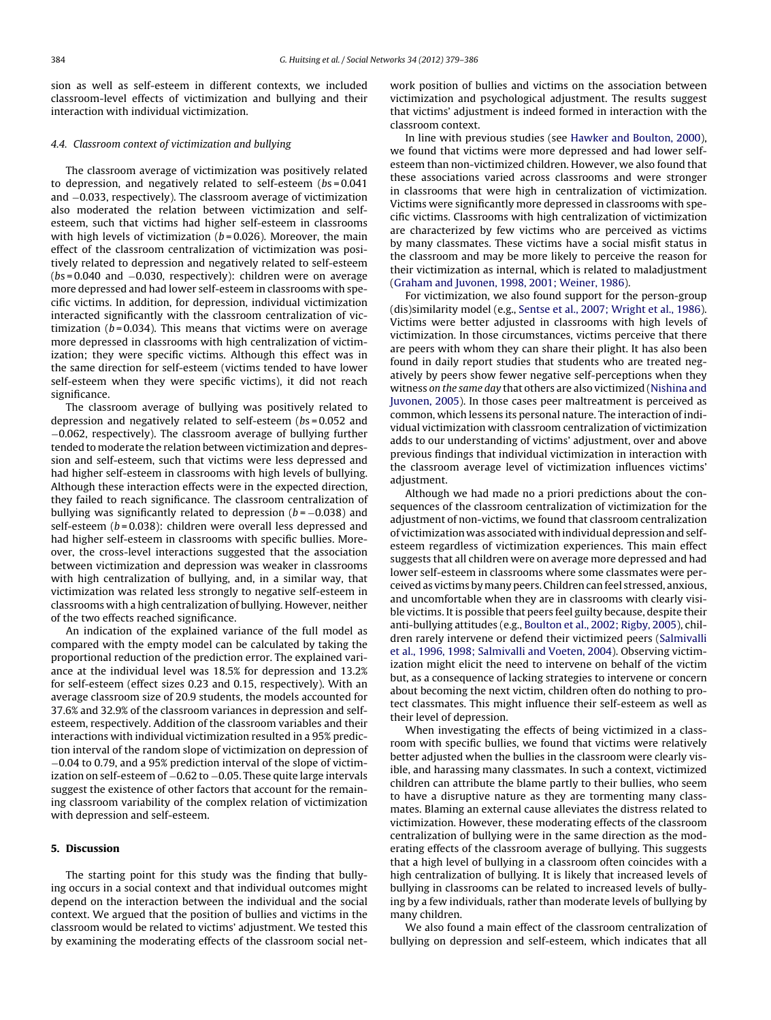sion as well as self-esteem in different contexts, we included classroom-level effects of victimization and bullying and their interaction with individual victimization.

## 4.4. Classroom context of victimization and bullying

The classroom average of victimization was positively related to depression, and negatively related to self-esteem (bs = 0.041 and −0.033, respectively). The classroom average of victimization also moderated the relation between victimization and selfesteem, such that victims had higher self-esteem in classrooms with high levels of victimization  $(b=0.026)$ . Moreover, the main effect of the classroom centralization of victimization was positively related to depression and negatively related to self-esteem (bs = 0.040 and −0.030, respectively): children were on average more depressed and had lower self-esteem in classrooms with specific victims. In addition, for depression, individual victimization interacted significantly with the classroom centralization of victimization ( $b = 0.034$ ). This means that victims were on average more depressed in classrooms with high centralization of victimization; they were specific victims. Although this effect was in the same direction for self-esteem (victims tended to have lower self-esteem when they were specific victims), it did not reach significance.

The classroom average of bullying was positively related to depression and negatively related to self-esteem (bs = 0.052 and −0.062, respectively). The classroom average of bullying further tended to moderate the relation between victimization and depression and self-esteem, such that victims were less depressed and had higher self-esteem in classrooms with high levels of bullying. Although these interaction effects were in the expected direction, they failed to reach significance. The classroom centralization of bullying was significantly related to depression  $(b = -0.038)$  and self-esteem  $(b = 0.038)$ : children were overall less depressed and had higher self-esteem in classrooms with specific bullies. Moreover, the cross-level interactions suggested that the association between victimization and depression was weaker in classrooms with high centralization of bullying, and, in a similar way, that victimization was related less strongly to negative self-esteem in classrooms with a high centralization of bullying. However, neither of the two effects reached significance.

An indication of the explained variance of the full model as compared with the empty model can be calculated by taking the proportional reduction of the prediction error. The explained variance at the individual level was 18.5% for depression and 13.2% for self-esteem (effect sizes 0.23 and 0.15, respectively). With an average classroom size of 20.9 students, the models accounted for 37.6% and 32.9% of the classroom variances in depression and selfesteem, respectively. Addition of the classroom variables and their interactions with individual victimization resulted in a 95% prediction interval of the random slope of victimization on depression of −0.04 to 0.79, and a 95% prediction interval of the slope of victimization on self-esteem of −0.62 to −0.05. These quite large intervals suggest the existence of other factors that account for the remaining classroom variability of the complex relation of victimization with depression and self-esteem.

## **5. Discussion**

The starting point for this study was the finding that bullying occurs in a social context and that individual outcomes might depend on the interaction between the individual and the social context. We argued that the position of bullies and victims in the classroom would be related to victims' adjustment. We tested this by examining the moderating effects of the classroom social network position of bullies and victims on the association between victimization and psychological adjustment. The results suggest that victims' adjustment is indeed formed in interaction with the classroom context.

In line with previous studies (see [Hawker](#page-7-0) [and](#page-7-0) [Boulton,](#page-7-0) [2000\),](#page-7-0) we found that victims were more depressed and had lower selfesteem than non-victimized children. However, we also found that these associations varied across classrooms and were stronger in classrooms that were high in centralization of victimization. Victims were significantly more depressed in classrooms with specific victims. Classrooms with high centralization of victimization are characterized by few victims who are perceived as victims by many classmates. These victims have a social misfit status in the classroom and may be more likely to perceive the reason for their victimization as internal, which is related to maladjustment [\(Graham](#page-7-0) [and](#page-7-0) [Juvonen,](#page-7-0) [1998,](#page-7-0) [2001;](#page-7-0) [Weiner,](#page-7-0) [1986\).](#page-7-0)

For victimization, we also found support for the person-group (dis)similarity model (e.g., [Sentse](#page-7-0) [et](#page-7-0) [al.,](#page-7-0) [2007;](#page-7-0) [Wright](#page-7-0) [et](#page-7-0) [al.,](#page-7-0) [1986\).](#page-7-0) Victims were better adjusted in classrooms with high levels of victimization. In those circumstances, victims perceive that there are peers with whom they can share their plight. It has also been found in daily report studies that students who are treated negatively by peers show fewer negative self-perceptions when they witness on the same day that others are also victimized [\(Nishina](#page-7-0) [and](#page-7-0) [Juvonen,](#page-7-0) [2005\).](#page-7-0) In those cases peer maltreatment is perceived as common, which lessens its personal nature. The interaction of individual victimization with classroom centralization of victimization adds to our understanding of victims' adjustment, over and above previous findings that individual victimization in interaction with the classroom average level of victimization influences victims' adiustment.

Although we had made no a priori predictions about the consequences of the classroom centralization of victimization for the adjustment of non-victims, we found that classroom centralization of victimization was associated with individual depression and selfesteem regardless of victimization experiences. This main effect suggests that all children were on average more depressed and had lower self-esteem in classrooms where some classmates were perceived as victims bymany peers. Children can feel stressed, anxious, and uncomfortable when they are in classrooms with clearly visible victims. It is possible that peers feel guilty because, despite their anti-bullying attitudes (e.g., [Boulton](#page-7-0) [et](#page-7-0) [al.,](#page-7-0) [2002;](#page-7-0) [Rigby,](#page-7-0) [2005\),](#page-7-0) children rarely intervene or defend their victimized peers [\(Salmivalli](#page-7-0) [et](#page-7-0) [al.,](#page-7-0) [1996,](#page-7-0) [1998;](#page-7-0) [Salmivalli](#page-7-0) [and](#page-7-0) [Voeten,](#page-7-0) [2004\).](#page-7-0) Observing victimization might elicit the need to intervene on behalf of the victim but, as a consequence of lacking strategies to intervene or concern about becoming the next victim, children often do nothing to protect classmates. This might influence their self-esteem as well as their level of depression.

When investigating the effects of being victimized in a classroom with specific bullies, we found that victims were relatively better adjusted when the bullies in the classroom were clearly visible, and harassing many classmates. In such a context, victimized children can attribute the blame partly to their bullies, who seem to have a disruptive nature as they are tormenting many classmates. Blaming an external cause alleviates the distress related to victimization. However, these moderating effects of the classroom centralization of bullying were in the same direction as the moderating effects of the classroom average of bullying. This suggests that a high level of bullying in a classroom often coincides with a high centralization of bullying. It is likely that increased levels of bullying in classrooms can be related to increased levels of bullying by a few individuals, rather than moderate levels of bullying by many children.

We also found a main effect of the classroom centralization of bullying on depression and self-esteem, which indicates that all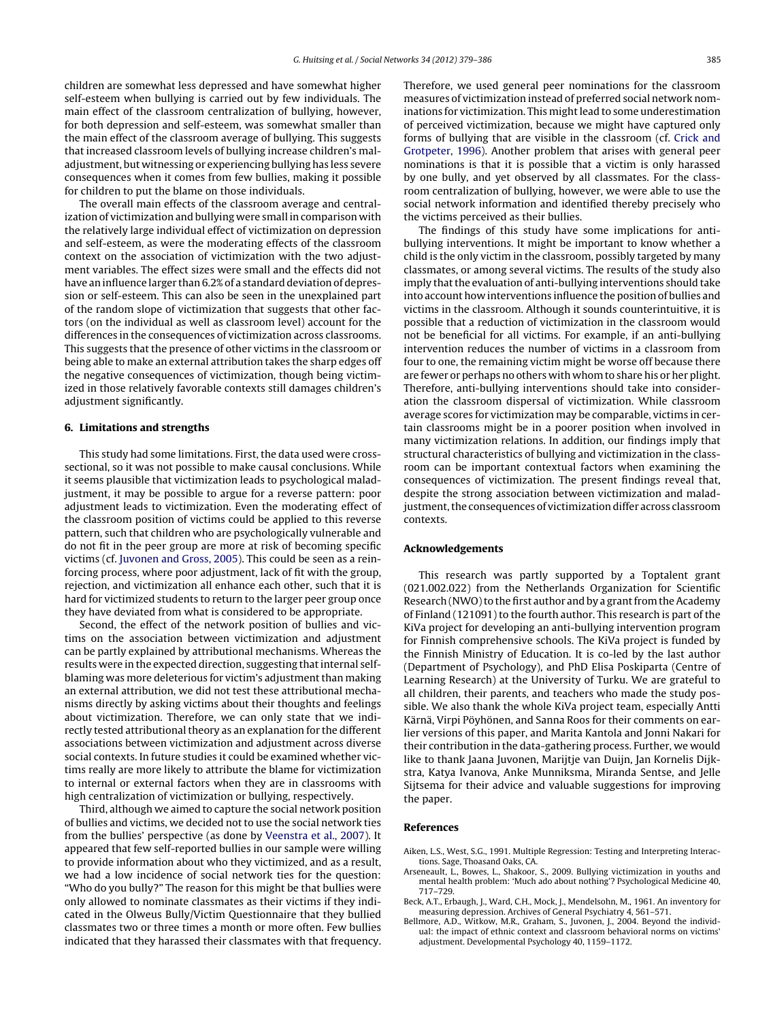<span id="page-6-0"></span>children are somewhat less depressed and have somewhat higher self-esteem when bullying is carried out by few individuals. The main effect of the classroom centralization of bullying, however, for both depression and self-esteem, was somewhat smaller than the main effect of the classroom average of bullying. This suggests that increased classroom levels of bullying increase children's maladjustment, but witnessing or experiencing bullying has less severe consequences when it comes from few bullies, making it possible for children to put the blame on those individuals.

The overall main effects of the classroom average and centralization of victimization and bullying were small in comparison with the relatively large individual effect of victimization on depression and self-esteem, as were the moderating effects of the classroom context on the association of victimization with the two adjustment variables. The effect sizes were small and the effects did not have an influence larger than 6.2% of a standard deviation of depression or self-esteem. This can also be seen in the unexplained part of the random slope of victimization that suggests that other factors (on the individual as well as classroom level) account for the differences in the consequences of victimization across classrooms. This suggests that the presence of other victims in the classroom or being able to make an external attribution takes the sharp edges off the negative consequences of victimization, though being victimized in those relatively favorable contexts still damages children's adjustment significantly.

## **6. Limitations and strengths**

This study had some limitations. First, the data used were crosssectional, so it was not possible to make causal conclusions. While it seems plausible that victimization leads to psychological maladjustment, it may be possible to argue for a reverse pattern: poor adjustment leads to victimization. Even the moderating effect of the classroom position of victims could be applied to this reverse pattern, such that children who are psychologically vulnerable and do not fit in the peer group are more at risk of becoming specific victims (cf. [Juvonen](#page-7-0) [and](#page-7-0) [Gross,](#page-7-0) [2005\).](#page-7-0) This could be seen as a reinforcing process, where poor adjustment, lack of fit with the group, rejection, and victimization all enhance each other, such that it is hard for victimized students to return to the larger peer group once they have deviated from what is considered to be appropriate.

Second, the effect of the network position of bullies and victims on the association between victimization and adjustment can be partly explained by attributional mechanisms. Whereas the results were in the expected direction, suggesting that internal selfblaming was more deleterious for victim's adjustment than making an external attribution, we did not test these attributional mechanisms directly by asking victims about their thoughts and feelings about victimization. Therefore, we can only state that we indirectly tested attributional theory as an explanation for the different associations between victimization and adjustment across diverse social contexts. In future studies it could be examined whether victims really are more likely to attribute the blame for victimization to internal or external factors when they are in classrooms with high centralization of victimization or bullying, respectively.

Third, although we aimed to capture the social network position of bullies and victims, we decided not to use the social network ties from the bullies' perspective (as done by [Veenstra](#page-7-0) [et](#page-7-0) [al.,](#page-7-0) [2007\).](#page-7-0) It appeared that few self-reported bullies in our sample were willing to provide information about who they victimized, and as a result, we had a low incidence of social network ties for the question: "Who do you bully?" The reason for this might be that bullies were only allowed to nominate classmates as their victims if they indicated in the Olweus Bully/Victim Questionnaire that they bullied classmates two or three times a month or more often. Few bullies indicated that they harassed their classmates with that frequency.

Therefore, we used general peer nominations for the classroom measures of victimization instead of preferred social network nominations for victimization. This might lead to some underestimation of perceived victimization, because we might have captured only forms of bullying that are visible in the classroom (cf. [Crick](#page-7-0) [and](#page-7-0) [Grotpeter,](#page-7-0) [1996\).](#page-7-0) Another problem that arises with general peer nominations is that it is possible that a victim is only harassed by one bully, and yet observed by all classmates. For the classroom centralization of bullying, however, we were able to use the social network information and identified thereby precisely who the victims perceived as their bullies.

The findings of this study have some implications for antibullying interventions. It might be important to know whether a child is the only victim in the classroom, possibly targeted by many classmates, or among several victims. The results of the study also imply that the evaluation of anti-bullying interventions should take into account how interventions influence the position of bullies and victims in the classroom. Although it sounds counterintuitive, it is possible that a reduction of victimization in the classroom would not be beneficial for all victims. For example, if an anti-bullying intervention reduces the number of victims in a classroom from four to one, the remaining victim might be worse off because there are fewer or perhaps no others with whom to share his or her plight. Therefore, anti-bullying interventions should take into consideration the classroom dispersal of victimization. While classroom average scores for victimization may be comparable, victims in certain classrooms might be in a poorer position when involved in many victimization relations. In addition, our findings imply that structural characteristics of bullying and victimization in the classroom can be important contextual factors when examining the consequences of victimization. The present findings reveal that, despite the strong association between victimization and maladjustment, the consequences of victimization differ across classroom contexts.

### **Acknowledgements**

This research was partly supported by a Toptalent grant (021.002.022) from the Netherlands Organization for Scientific Research (NWO) to the first author and by a grant from the Academy of Finland (121091) to the fourth author. This research is part of the KiVa project for developing an anti-bullying intervention program for Finnish comprehensive schools. The KiVa project is funded by the Finnish Ministry of Education. It is co-led by the last author (Department of Psychology), and PhD Elisa Poskiparta (Centre of Learning Research) at the University of Turku. We are grateful to all children, their parents, and teachers who made the study possible. We also thank the whole KiVa project team, especially Antti Kärnä, Virpi Pöyhönen, and Sanna Roos for their comments on earlier versions of this paper, and Marita Kantola and Jonni Nakari for their contribution in the data-gathering process. Further, we would like to thank Jaana Juvonen, Marijtje van Duijn, Jan Kornelis Dijkstra, Katya Ivanova, Anke Munniksma, Miranda Sentse, and Jelle Sijtsema for their advice and valuable suggestions for improving the paper.

#### **References**

- Aiken, L.S., West, S.G., 1991. Multiple Regression: Testing and Interpreting Interactions. Sage, Thoasand Oaks, CA.
- Arseneault, L., Bowes, L., Shakoor, S., 2009. Bullying victimization in youths and mental health problem: 'Much ado about nothing'? Psychological Medicine 40, 717–729.
- Beck, A.T., Erbaugh, J., Ward, C.H., Mock, J., Mendelsohn, M., 1961. An inventory for measuring depression. Archives of General Psychiatry 4, 561–571.
- Bellmore, A.D., Witkow, M.R., Graham, S., Juvonen, J., 2004. Beyond the individual: the impact of ethnic context and classroom behavioral norms on victims' adjustment. Developmental Psychology 40, 1159–1172.